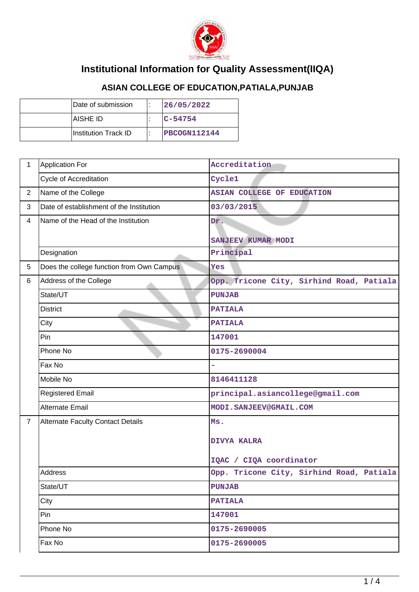

## **Institutional Information for Quality Assessment(IIQA)**

## **ASIAN COLLEGE OF EDUCATION,PATIALA,PUNJAB**

| Date of submission   | 26/05/2022   |
|----------------------|--------------|
| IAISHE ID            | $IC - 54754$ |
| Institution Track ID | PBCOGN112144 |

| $\mathbf 1$    | <b>Application For</b>                    | Accreditation                            |  |
|----------------|-------------------------------------------|------------------------------------------|--|
|                | Cycle of Accreditation                    | Cycle1                                   |  |
| $\overline{2}$ | Name of the College                       | <b>ASIAN COLLEGE OF EDUCATION</b>        |  |
| 3              | Date of establishment of the Institution  | 03/03/2015                               |  |
| 4              | Name of the Head of the Institution       | Dr.                                      |  |
|                |                                           | SANJEEV KUMAR MODI                       |  |
|                | Designation                               | Principal                                |  |
| 5              | Does the college function from Own Campus | Yes                                      |  |
| 6              | Address of the College                    | Opp. Tricone City, Sirhind Road, Patiala |  |
|                | State/UT                                  | <b>PUNJAB</b>                            |  |
|                | <b>District</b>                           | <b>PATIALA</b>                           |  |
|                | City                                      | <b>PATIALA</b>                           |  |
|                | Pin                                       | 147001                                   |  |
|                | Phone No                                  | 0175-2690004                             |  |
|                | Fax No                                    |                                          |  |
|                | Mobile No                                 | 8146411128                               |  |
|                | <b>Registered Email</b>                   | principal.asiancollege@gmail.com         |  |
|                | <b>Alternate Email</b>                    | MODI.SANJEEV@GMAIL.COM                   |  |
| $\overline{7}$ | <b>Alternate Faculty Contact Details</b>  | Ms.                                      |  |
|                |                                           | <b>DIVYA KALRA</b>                       |  |
|                |                                           |                                          |  |
|                |                                           | IQAC / CIQA coordinator                  |  |
|                | Address                                   | Opp. Tricone City, Sirhind Road, Patiala |  |
|                | State/UT                                  | <b>PUNJAB</b>                            |  |
|                | City                                      | <b>PATIALA</b>                           |  |
|                | Pin                                       | 147001                                   |  |
|                | Phone No                                  | 0175-2690005                             |  |
|                | Fax No                                    | 0175-2690005                             |  |
|                |                                           |                                          |  |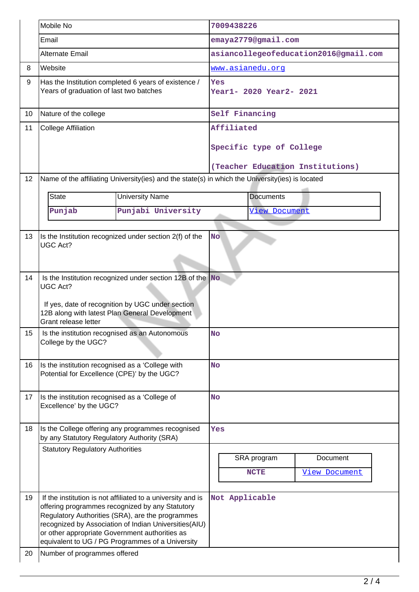|                  | Mobile No                                                                                                                                                                                                          |                                                                                                                                                                                                                                                                                 | 7009438226                            |                            |                                  |
|------------------|--------------------------------------------------------------------------------------------------------------------------------------------------------------------------------------------------------------------|---------------------------------------------------------------------------------------------------------------------------------------------------------------------------------------------------------------------------------------------------------------------------------|---------------------------------------|----------------------------|----------------------------------|
|                  | Email                                                                                                                                                                                                              |                                                                                                                                                                                                                                                                                 | emaya2779@gmail.com                   |                            |                                  |
|                  | <b>Alternate Email</b>                                                                                                                                                                                             |                                                                                                                                                                                                                                                                                 | asiancollegeofeducation2016@gmail.com |                            |                                  |
| 8                | Website                                                                                                                                                                                                            |                                                                                                                                                                                                                                                                                 | www.asianedu.org                      |                            |                                  |
| 9                | Has the Institution completed 6 years of existence /<br>Years of graduation of last two batches                                                                                                                    |                                                                                                                                                                                                                                                                                 | Yes<br>Year1- 2020 Year2- 2021        |                            |                                  |
| 10               | Nature of the college                                                                                                                                                                                              |                                                                                                                                                                                                                                                                                 | Self Financing                        |                            |                                  |
| 11               | <b>College Affiliation</b>                                                                                                                                                                                         |                                                                                                                                                                                                                                                                                 | Affiliated                            |                            |                                  |
|                  |                                                                                                                                                                                                                    |                                                                                                                                                                                                                                                                                 | Specific type of College              |                            |                                  |
|                  |                                                                                                                                                                                                                    |                                                                                                                                                                                                                                                                                 |                                       |                            | (Teacher Education Institutions) |
| 12               |                                                                                                                                                                                                                    | Name of the affiliating University(ies) and the state(s) in which the University(ies) is located                                                                                                                                                                                |                                       |                            |                                  |
|                  | <b>State</b>                                                                                                                                                                                                       | <b>University Name</b>                                                                                                                                                                                                                                                          |                                       | <b>Documents</b>           |                                  |
|                  | Punjab                                                                                                                                                                                                             | Punjabi University                                                                                                                                                                                                                                                              |                                       | <b>View Document</b>       |                                  |
|                  |                                                                                                                                                                                                                    |                                                                                                                                                                                                                                                                                 |                                       |                            |                                  |
| 13               | Is the Institution recognized under section 2(f) of the<br><b>No</b><br><b>UGC Act?</b>                                                                                                                            |                                                                                                                                                                                                                                                                                 |                                       |                            |                                  |
| 14               | Is the Institution recognized under section 12B of the $\vert$ No<br><b>UGC Act?</b><br>If yes, date of recognition by UGC under section<br>12B along with latest Plan General Development<br>Grant release letter |                                                                                                                                                                                                                                                                                 |                                       |                            |                                  |
| 15 <sup>15</sup> | Is the institution recognised as an Autonomous<br>College by the UGC?                                                                                                                                              |                                                                                                                                                                                                                                                                                 | NO                                    |                            |                                  |
| 16               | Is the institution recognised as a 'College with<br>Potential for Excellence (CPE)' by the UGC?                                                                                                                    |                                                                                                                                                                                                                                                                                 | <b>No</b>                             |                            |                                  |
| 17               | Is the institution recognised as a 'College of<br>Excellence' by the UGC?                                                                                                                                          |                                                                                                                                                                                                                                                                                 | <b>No</b>                             |                            |                                  |
| 18               | Is the College offering any programmes recognised<br>by any Statutory Regulatory Authority (SRA)                                                                                                                   |                                                                                                                                                                                                                                                                                 | Yes                                   |                            |                                  |
|                  | <b>Statutory Regulatory Authorities</b>                                                                                                                                                                            |                                                                                                                                                                                                                                                                                 |                                       | SRA program<br><b>NCTE</b> | Document<br><b>View Document</b> |
| 19               | or other appropriate Government authorities as                                                                                                                                                                     | If the institution is not affiliated to a university and is<br>offering programmes recognized by any Statutory<br>Regulatory Authorities (SRA), are the programmes<br>recognized by Association of Indian Universities(AIU)<br>equivalent to UG / PG Programmes of a University | Not Applicable                        |                            |                                  |
| 20               | Number of programmes offered                                                                                                                                                                                       |                                                                                                                                                                                                                                                                                 |                                       |                            |                                  |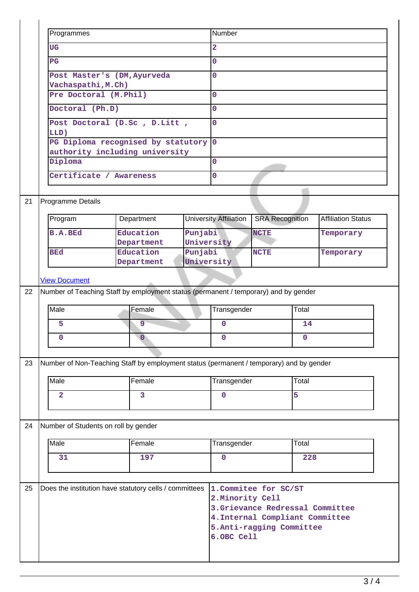| <b>UG</b>                                                                                       |                                                                                         | $\overline{\mathbf{2}}$                                                                                                                                                                       |                                                                                                                                                               |                                                                                                                                                         |  |
|-------------------------------------------------------------------------------------------------|-----------------------------------------------------------------------------------------|-----------------------------------------------------------------------------------------------------------------------------------------------------------------------------------------------|---------------------------------------------------------------------------------------------------------------------------------------------------------------|---------------------------------------------------------------------------------------------------------------------------------------------------------|--|
| $_{\rm PG}$                                                                                     |                                                                                         | $\overline{O}$                                                                                                                                                                                |                                                                                                                                                               |                                                                                                                                                         |  |
|                                                                                                 |                                                                                         | $\mathbf 0$                                                                                                                                                                                   |                                                                                                                                                               |                                                                                                                                                         |  |
|                                                                                                 |                                                                                         |                                                                                                                                                                                               |                                                                                                                                                               |                                                                                                                                                         |  |
|                                                                                                 |                                                                                         |                                                                                                                                                                                               |                                                                                                                                                               |                                                                                                                                                         |  |
| Doctoral (Ph.D)<br>Post Doctoral (D.Sc , D.Litt ,<br>LLD)<br>PG Diploma recognised by statutory |                                                                                         |                                                                                                                                                                                               | $\overline{0}$<br>$\overline{0}$                                                                                                                              |                                                                                                                                                         |  |
|                                                                                                 |                                                                                         |                                                                                                                                                                                               |                                                                                                                                                               |                                                                                                                                                         |  |
|                                                                                                 |                                                                                         |                                                                                                                                                                                               |                                                                                                                                                               |                                                                                                                                                         |  |
|                                                                                                 |                                                                                         |                                                                                                                                                                                               |                                                                                                                                                               |                                                                                                                                                         |  |
| Diploma                                                                                         |                                                                                         | $\mathbf{0}$                                                                                                                                                                                  |                                                                                                                                                               |                                                                                                                                                         |  |
|                                                                                                 |                                                                                         | $\overline{0}$                                                                                                                                                                                |                                                                                                                                                               |                                                                                                                                                         |  |
|                                                                                                 |                                                                                         |                                                                                                                                                                                               |                                                                                                                                                               |                                                                                                                                                         |  |
| Programme Details                                                                               |                                                                                         |                                                                                                                                                                                               |                                                                                                                                                               |                                                                                                                                                         |  |
|                                                                                                 |                                                                                         |                                                                                                                                                                                               |                                                                                                                                                               |                                                                                                                                                         |  |
|                                                                                                 |                                                                                         |                                                                                                                                                                                               |                                                                                                                                                               |                                                                                                                                                         |  |
| <b>B.A.BEd</b>                                                                                  |                                                                                         |                                                                                                                                                                                               | Temporary                                                                                                                                                     |                                                                                                                                                         |  |
|                                                                                                 |                                                                                         |                                                                                                                                                                                               |                                                                                                                                                               |                                                                                                                                                         |  |
|                                                                                                 | Department                                                                              |                                                                                                                                                                                               |                                                                                                                                                               |                                                                                                                                                         |  |
|                                                                                                 |                                                                                         |                                                                                                                                                                                               |                                                                                                                                                               |                                                                                                                                                         |  |
|                                                                                                 |                                                                                         |                                                                                                                                                                                               |                                                                                                                                                               |                                                                                                                                                         |  |
|                                                                                                 |                                                                                         |                                                                                                                                                                                               |                                                                                                                                                               |                                                                                                                                                         |  |
|                                                                                                 |                                                                                         |                                                                                                                                                                                               |                                                                                                                                                               |                                                                                                                                                         |  |
| Male                                                                                            | Female                                                                                  | Transgender                                                                                                                                                                                   | Total                                                                                                                                                         |                                                                                                                                                         |  |
| 5                                                                                               | $\overline{9}$                                                                          | $\mathbf 0$                                                                                                                                                                                   | 14                                                                                                                                                            |                                                                                                                                                         |  |
| $\mathbf 0$                                                                                     | $\overline{0}$                                                                          | $\mathbf 0$                                                                                                                                                                                   | $\mathbf 0$                                                                                                                                                   |                                                                                                                                                         |  |
|                                                                                                 |                                                                                         |                                                                                                                                                                                               |                                                                                                                                                               |                                                                                                                                                         |  |
|                                                                                                 | Number of Non-Teaching Staff by employment status (permanent / temporary) and by gender |                                                                                                                                                                                               |                                                                                                                                                               |                                                                                                                                                         |  |
|                                                                                                 |                                                                                         |                                                                                                                                                                                               |                                                                                                                                                               |                                                                                                                                                         |  |
| Male                                                                                            | Female                                                                                  | Transgender                                                                                                                                                                                   | Total                                                                                                                                                         |                                                                                                                                                         |  |
| $\overline{2}$                                                                                  | $\overline{3}$                                                                          | $\overline{0}$                                                                                                                                                                                | 5                                                                                                                                                             |                                                                                                                                                         |  |
|                                                                                                 |                                                                                         |                                                                                                                                                                                               |                                                                                                                                                               |                                                                                                                                                         |  |
|                                                                                                 |                                                                                         |                                                                                                                                                                                               |                                                                                                                                                               |                                                                                                                                                         |  |
| Number of Students on roll by gender                                                            |                                                                                         |                                                                                                                                                                                               |                                                                                                                                                               |                                                                                                                                                         |  |
| Male                                                                                            | $F$ <sub>emale</sub>                                                                    | Transgender                                                                                                                                                                                   | Total                                                                                                                                                         |                                                                                                                                                         |  |
| 31                                                                                              | 197                                                                                     | $\overline{0}$                                                                                                                                                                                | 228                                                                                                                                                           |                                                                                                                                                         |  |
|                                                                                                 |                                                                                         |                                                                                                                                                                                               |                                                                                                                                                               |                                                                                                                                                         |  |
|                                                                                                 |                                                                                         |                                                                                                                                                                                               |                                                                                                                                                               |                                                                                                                                                         |  |
|                                                                                                 | Does the institution have statutory cells / committees                                  | 1. Commitee for SC/ST                                                                                                                                                                         |                                                                                                                                                               |                                                                                                                                                         |  |
|                                                                                                 |                                                                                         | 2. Minority Cell                                                                                                                                                                              | 3. Grievance Redressal Committee                                                                                                                              |                                                                                                                                                         |  |
|                                                                                                 |                                                                                         |                                                                                                                                                                                               |                                                                                                                                                               |                                                                                                                                                         |  |
|                                                                                                 |                                                                                         |                                                                                                                                                                                               | 4. Internal Compliant Committee                                                                                                                               |                                                                                                                                                         |  |
|                                                                                                 |                                                                                         | 5. Anti-ragging Committee<br>6.OBC Cell                                                                                                                                                       |                                                                                                                                                               |                                                                                                                                                         |  |
|                                                                                                 | Programmes<br>Program<br><b>BEd</b><br><b>View Document</b>                             | Post Master's (DM, Ayurveda<br>Vachaspathi, M.Ch)<br>Pre Doctoral (M.Phil)<br>authority including university<br>Certificate / Awareness<br>Department<br>Education<br>Department<br>Education | <b>Number</b><br>$\mathbf 0$<br>$\mathbf{0}$<br><b>University Affiliation</b><br>Punjabi<br><b>NCTE</b><br>University<br>Punjabi<br><b>NCTE</b><br>University | <b>Affiliation Status</b><br><b>SRA Recognition</b><br>Temporary<br>Number of Teaching Staff by employment status (permanent / temporary) and by gender |  |